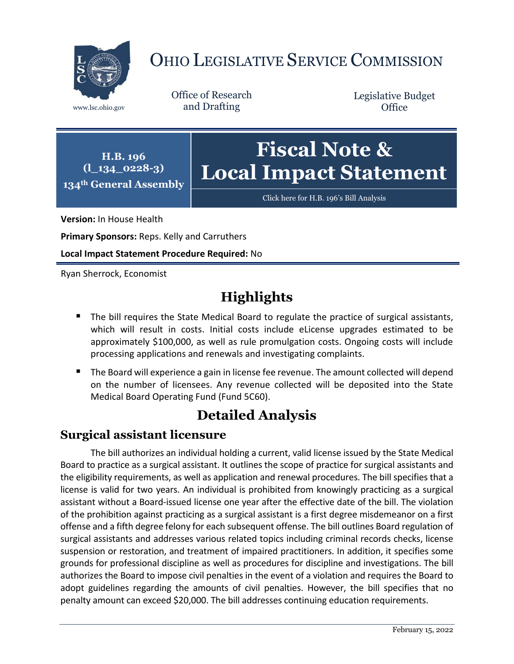

# OHIO LEGISLATIVE SERVICE COMMISSION

Office of Research www.lsc.ohio.gov and Drafting

Legislative Budget **Office** 

**H.B. 196 (l\_134\_0228-3) 134th General Assembly**

# **Fiscal Note & Local Impact Statement**

[Click here for H.B. 196](https://www.legislature.ohio.gov/legislation/legislation-documents?id=GA134-HB-196)'s Bill Analysis

**Version:** In House Health

**Primary Sponsors:** Reps. Kelly and Carruthers

**Local Impact Statement Procedure Required:** No

Ryan Sherrock, Economist

## **Highlights**

- The bill requires the State Medical Board to regulate the practice of surgical assistants, which will result in costs. Initial costs include eLicense upgrades estimated to be approximately \$100,000, as well as rule promulgation costs. Ongoing costs will include processing applications and renewals and investigating complaints.
- The Board will experience a gain in license fee revenue. The amount collected will depend on the number of licensees. Any revenue collected will be deposited into the State Medical Board Operating Fund (Fund 5C60).

### **Detailed Analysis**

#### **Surgical assistant licensure**

The bill authorizes an individual holding a current, valid license issued by the State Medical Board to practice as a surgical assistant. It outlines the scope of practice for surgical assistants and the eligibility requirements, as well as application and renewal procedures. The bill specifies that a license is valid for two years. An individual is prohibited from knowingly practicing as a surgical assistant without a Board-issued license one year after the effective date of the bill. The violation of the prohibition against practicing as a surgical assistant is a first degree misdemeanor on a first offense and a fifth degree felony for each subsequent offense. The bill outlines Board regulation of surgical assistants and addresses various related topics including criminal records checks, license suspension or restoration, and treatment of impaired practitioners. In addition, it specifies some grounds for professional discipline as well as procedures for discipline and investigations. The bill authorizes the Board to impose civil penalties in the event of a violation and requires the Board to adopt guidelines regarding the amounts of civil penalties. However, the bill specifies that no penalty amount can exceed \$20,000. The bill addresses continuing education requirements.